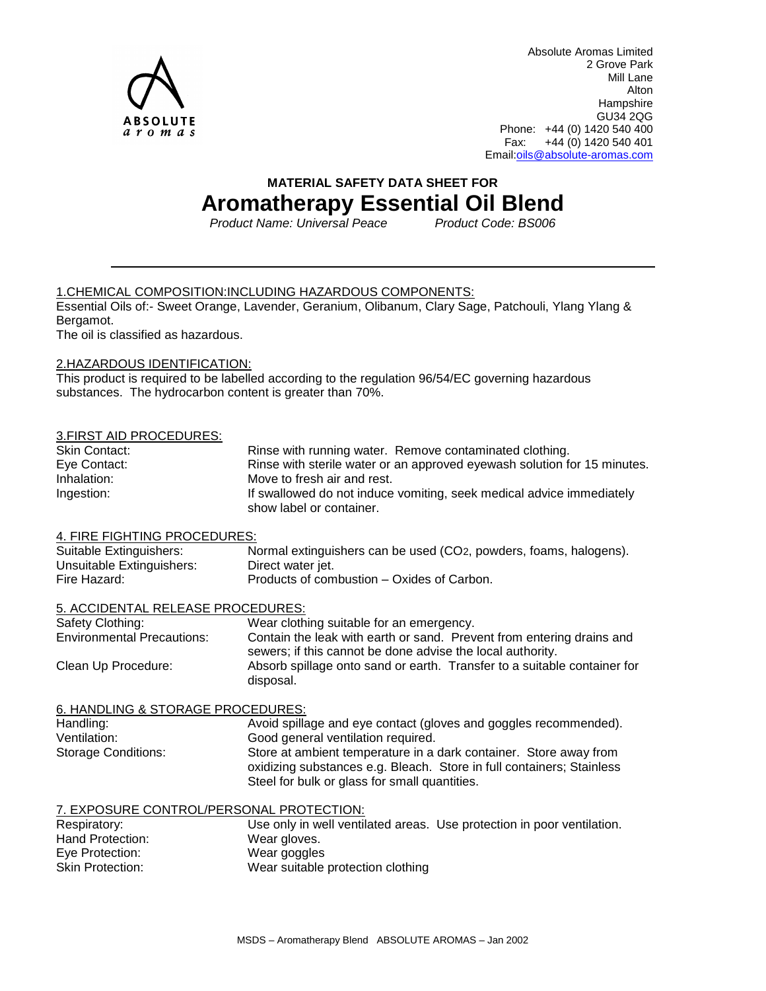

Absolute Aromas Limited 2 Grove Park Mill Lane Alton **Hampshire** GU34 2QG Phone: +44 (0) 1420 540 400 Fax: +44 (0) 1420 540 401 Email[:oils@absolute-aromas.com](mailto:oils@absolute-aromas.com)

## **MATERIAL SAFETY DATA SHEET FOR**

# **Aromatherapy Essential Oil Blend**

*Product Name: Universal Peace Product Code: BS006* 

## 1.CHEMICAL COMPOSITION:INCLUDING HAZARDOUS COMPONENTS:

Essential Oils of:- Sweet Orange, Lavender, Geranium, Olibanum, Clary Sage, Patchouli, Ylang Ylang & Bergamot.

The oil is classified as hazardous.

## 2.HAZARDOUS IDENTIFICATION:

This product is required to be labelled according to the regulation 96/54/EC governing hazardous substances. The hydrocarbon content is greater than 70%.

## 3.FIRST AID PROCEDURES:

| <b>Skin Contact:</b> | Rinse with running water. Remove contaminated clothing.                  |
|----------------------|--------------------------------------------------------------------------|
| Eye Contact:         | Rinse with sterile water or an approved eyewash solution for 15 minutes. |
| Inhalation:          | Move to fresh air and rest.                                              |
| Ingestion:           | If swallowed do not induce vomiting, seek medical advice immediately     |
|                      | show label or container.                                                 |

## 4. FIRE FIGHTING PROCEDURES:

| Suitable Extinguishers:   | Normal extinguishers can be used (CO <sub>2</sub> , powders, foams, halogens). |
|---------------------------|--------------------------------------------------------------------------------|
| Unsuitable Extinguishers: | Direct water jet.                                                              |
| Fire Hazard:              | Products of combustion – Oxides of Carbon.                                     |

## 5. ACCIDENTAL RELEASE PROCEDURES:

| Safety Clothing:                  | Wear clothing suitable for an emergency.                                                                                            |
|-----------------------------------|-------------------------------------------------------------------------------------------------------------------------------------|
| <b>Environmental Precautions:</b> | Contain the leak with earth or sand. Prevent from entering drains and<br>sewers; if this cannot be done advise the local authority. |
| Clean Up Procedure:               | Absorb spillage onto sand or earth. Transfer to a suitable container for<br>disposal.                                               |

## 6. HANDLING & STORAGE PROCEDURES:

| Handling:           | Avoid spillage and eye contact (gloves and goggles recommended).                                                                                                                            |
|---------------------|---------------------------------------------------------------------------------------------------------------------------------------------------------------------------------------------|
| Ventilation:        | Good general ventilation required.                                                                                                                                                          |
| Storage Conditions: | Store at ambient temperature in a dark container. Store away from<br>oxidizing substances e.g. Bleach. Store in full containers; Stainless<br>Steel for bulk or glass for small quantities. |

## 7. EXPOSURE CONTROL/PERSONAL PROTECTION:

| Respiratory:            |                                   | Use only in well ventilated areas. Use protection in poor ventilation. |
|-------------------------|-----------------------------------|------------------------------------------------------------------------|
| Hand Protection:        | Wear gloves.                      |                                                                        |
| Eye Protection:         | Wear goggles                      |                                                                        |
| <b>Skin Protection:</b> | Wear suitable protection clothing |                                                                        |